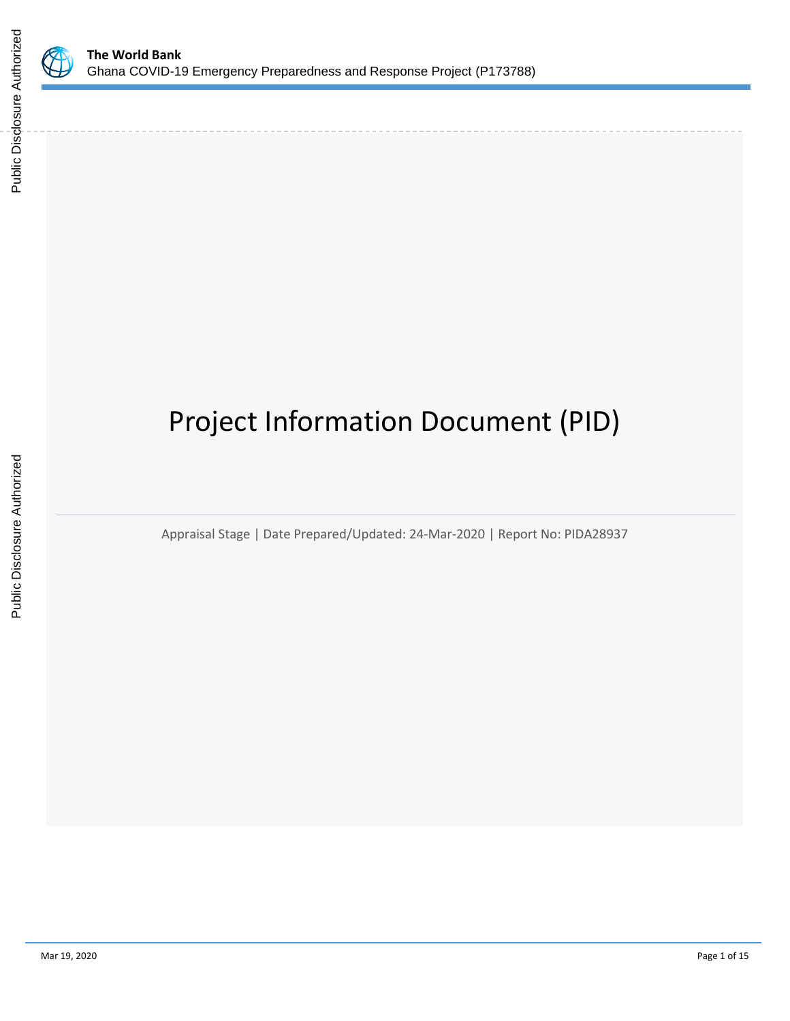

# Project Information Document (PID)

Appraisal Stage | Date Prepared/Updated: 24-Mar-2020 | Report No: PIDA28937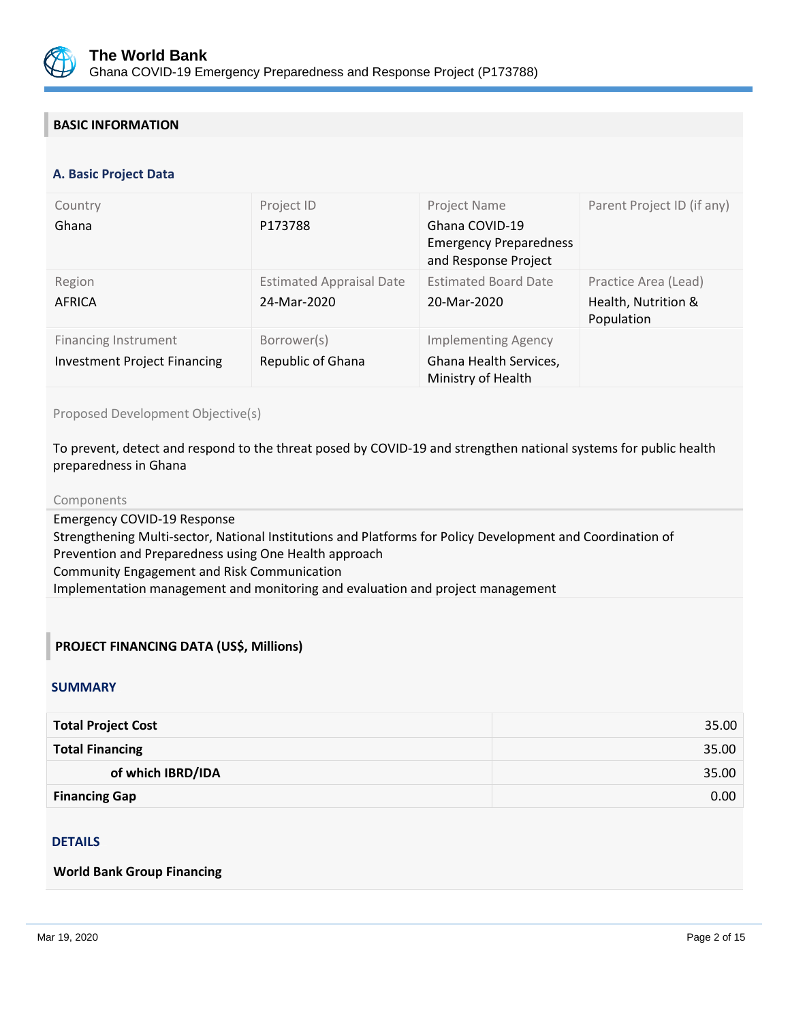

## **BASIC INFORMATION**

#### **OPS\_TABLE\_BASIC\_DATA A. Basic Project Data**

| Country<br>Ghana                                                   | Project ID<br>P173788                          | Project Name<br>Ghana COVID-19<br><b>Emergency Preparedness</b><br>and Response Project | Parent Project ID (if any)                                |
|--------------------------------------------------------------------|------------------------------------------------|-----------------------------------------------------------------------------------------|-----------------------------------------------------------|
| Region<br><b>AFRICA</b>                                            | <b>Estimated Appraisal Date</b><br>24-Mar-2020 | <b>Estimated Board Date</b><br>20-Mar-2020                                              | Practice Area (Lead)<br>Health, Nutrition &<br>Population |
| <b>Financing Instrument</b><br><b>Investment Project Financing</b> | Borrower(s)<br>Republic of Ghana               | <b>Implementing Agency</b><br>Ghana Health Services,<br>Ministry of Health              |                                                           |

Proposed Development Objective(s)

To prevent, detect and respond to the threat posed by COVID-19 and strengthen national systems for public health preparedness in Ghana

#### Components

Emergency COVID-19 Response Strengthening Multi-sector, National Institutions and Platforms for Policy Development and Coordination of Prevention and Preparedness using One Health approach Community Engagement and Risk Communication Implementation management and monitoring and evaluation and project management

## **PROJECT FINANCING DATA (US\$, Millions)**

#### **SUMMARY**

| <b>Total Project Cost</b> | 35.00 |
|---------------------------|-------|
| <b>Total Financing</b>    | 35.00 |
| of which IBRD/IDA         | 35.00 |
| <b>Financing Gap</b>      | 0.00  |

#### DETAILS

#### **World Bank Group Financing**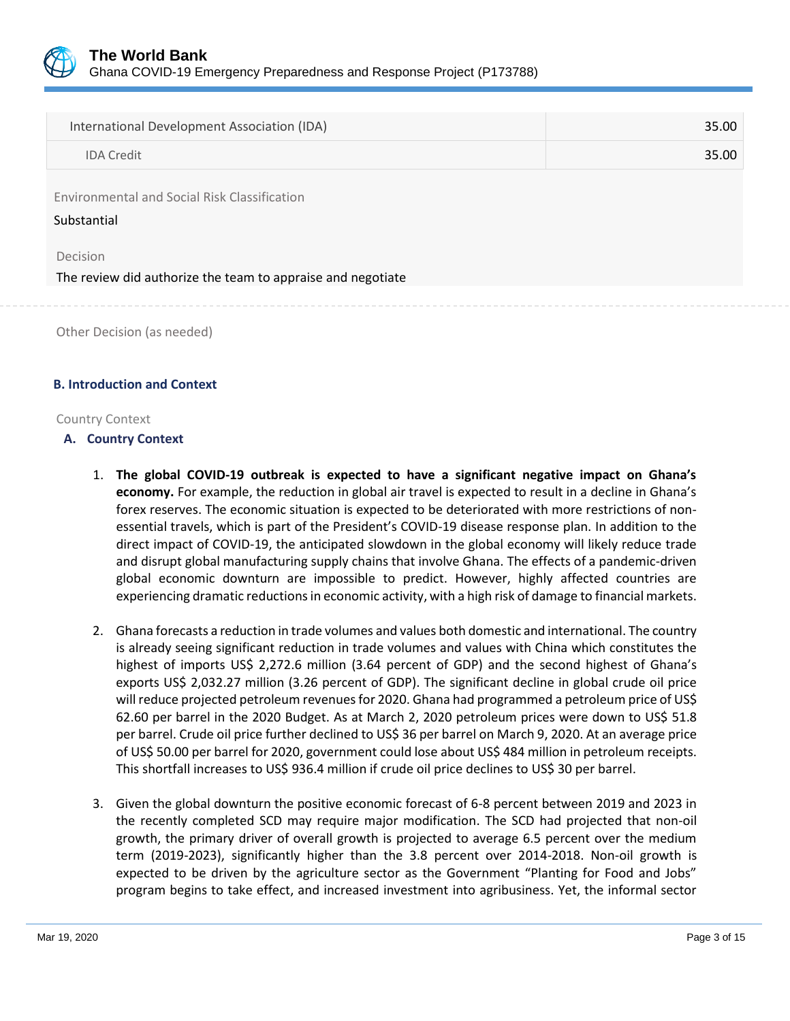

| International Development Association (IDA)                             | 35.00 |
|-------------------------------------------------------------------------|-------|
| <b>IDA Credit</b>                                                       | 35.00 |
| Environmental and Social Risk Classification<br>Substantial             |       |
| Decision<br>The review did authorize the team to appraise and negotiate |       |
|                                                                         |       |

Other Decision (as needed)

#### **B. Introduction and Context**

#### Country Context

#### **A. Country Context**

- 1. **The global COVID-19 outbreak is expected to have a significant negative impact on Ghana's economy.** For example, the reduction in global air travel is expected to result in a decline in Ghana's forex reserves. The economic situation is expected to be deteriorated with more restrictions of nonessential travels, which is part of the President's COVID-19 disease response plan. In addition to the direct impact of COVID-19, the anticipated slowdown in the global economy will likely reduce trade and disrupt global manufacturing supply chains that involve Ghana. The effects of a pandemic-driven global economic downturn are impossible to predict. However, highly affected countries are experiencing dramatic reductions in economic activity, with a high risk of damage to financial markets.
- 2. Ghana forecasts a reduction in trade volumes and values both domestic and international. The country is already seeing significant reduction in trade volumes and values with China which constitutes the highest of imports US\$ 2,272.6 million (3.64 percent of GDP) and the second highest of Ghana's exports US\$ 2,032.27 million (3.26 percent of GDP). The significant decline in global crude oil price will reduce projected petroleum revenues for 2020. Ghana had programmed a petroleum price of US\$ 62.60 per barrel in the 2020 Budget. As at March 2, 2020 petroleum prices were down to US\$ 51.8 per barrel. Crude oil price further declined to US\$ 36 per barrel on March 9, 2020. At an average price of US\$ 50.00 per barrel for 2020, government could lose about US\$ 484 million in petroleum receipts. This shortfall increases to US\$ 936.4 million if crude oil price declines to US\$ 30 per barrel.
- 3. Given the global downturn the positive economic forecast of 6-8 percent between 2019 and 2023 in the recently completed SCD may require major modification. The SCD had projected that non-oil growth, the primary driver of overall growth is projected to average 6.5 percent over the medium term (2019-2023), significantly higher than the 3.8 percent over 2014-2018. Non-oil growth is expected to be driven by the agriculture sector as the Government "Planting for Food and Jobs" program begins to take effect, and increased investment into agribusiness. Yet, the informal sector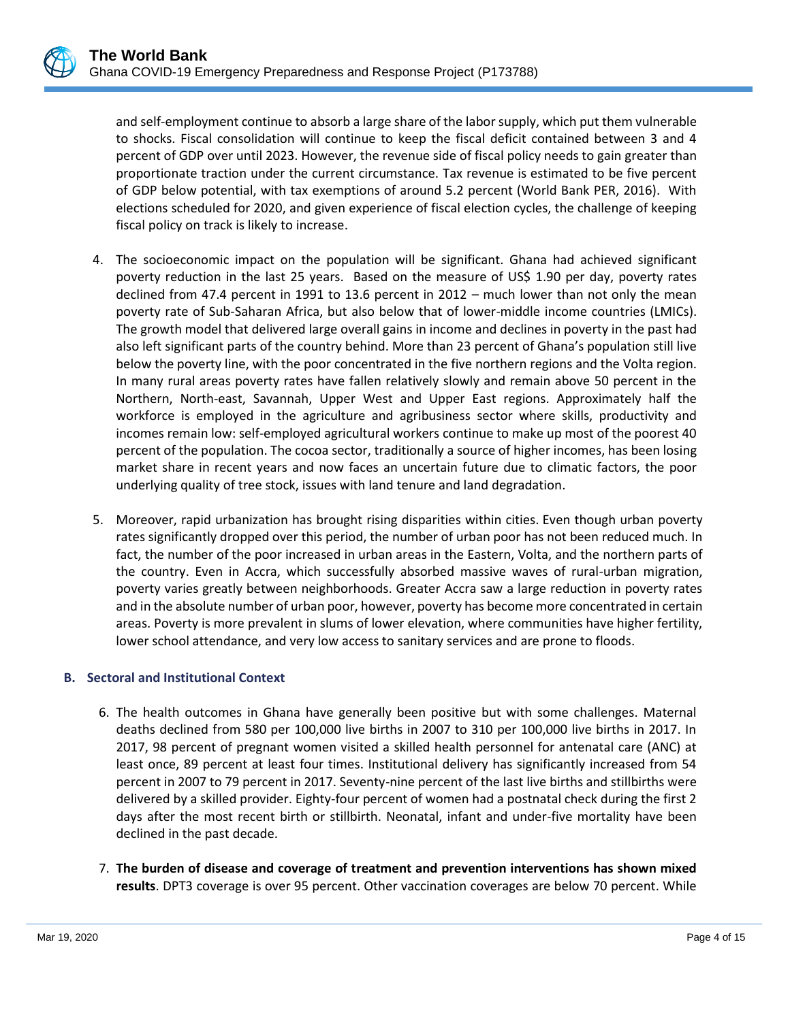and self-employment continue to absorb a large share of the labor supply, which put them vulnerable to shocks. Fiscal consolidation will continue to keep the fiscal deficit contained between 3 and 4 percent of GDP over until 2023. However, the revenue side of fiscal policy needs to gain greater than proportionate traction under the current circumstance. Tax revenue is estimated to be five percent of GDP below potential, with tax exemptions of around 5.2 percent (World Bank PER, 2016). With elections scheduled for 2020, and given experience of fiscal election cycles, the challenge of keeping fiscal policy on track is likely to increase.

- 4. The socioeconomic impact on the population will be significant. Ghana had achieved significant poverty reduction in the last 25 years. Based on the measure of US\$ 1.90 per day, poverty rates declined from 47.4 percent in 1991 to 13.6 percent in 2012 – much lower than not only the mean poverty rate of Sub-Saharan Africa, but also below that of lower-middle income countries (LMICs). The growth model that delivered large overall gains in income and declines in poverty in the past had also left significant parts of the country behind. More than 23 percent of Ghana's population still live below the poverty line, with the poor concentrated in the five northern regions and the Volta region. In many rural areas poverty rates have fallen relatively slowly and remain above 50 percent in the Northern, North-east, Savannah, Upper West and Upper East regions. Approximately half the workforce is employed in the agriculture and agribusiness sector where skills, productivity and incomes remain low: self-employed agricultural workers continue to make up most of the poorest 40 percent of the population. The cocoa sector, traditionally a source of higher incomes, has been losing market share in recent years and now faces an uncertain future due to climatic factors, the poor underlying quality of tree stock, issues with land tenure and land degradation.
- 5. Moreover, rapid urbanization has brought rising disparities within cities. Even though urban poverty rates significantly dropped over this period, the number of urban poor has not been reduced much. In fact, the number of the poor increased in urban areas in the Eastern, Volta, and the northern parts of the country. Even in Accra, which successfully absorbed massive waves of rural-urban migration, poverty varies greatly between neighborhoods. Greater Accra saw a large reduction in poverty rates and in the absolute number of urban poor, however, poverty has become more concentrated in certain areas. Poverty is more prevalent in slums of lower elevation, where communities have higher fertility, lower school attendance, and very low access to sanitary services and are prone to floods.

### **B. Sectoral and Institutional Context**

- 6. The health outcomes in Ghana have generally been positive but with some challenges. Maternal deaths declined from 580 per 100,000 live births in 2007 to 310 per 100,000 live births in 2017. In 2017, 98 percent of pregnant women visited a skilled health personnel for antenatal care (ANC) at least once, 89 percent at least four times. Institutional delivery has significantly increased from 54 percent in 2007 to 79 percent in 2017. Seventy-nine percent of the last live births and stillbirths were delivered by a skilled provider. Eighty-four percent of women had a postnatal check during the first 2 days after the most recent birth or stillbirth. Neonatal, infant and under-five mortality have been declined in the past decade.
- 7. **The burden of disease and coverage of treatment and prevention interventions has shown mixed results**. DPT3 coverage is over 95 percent. Other vaccination coverages are below 70 percent. While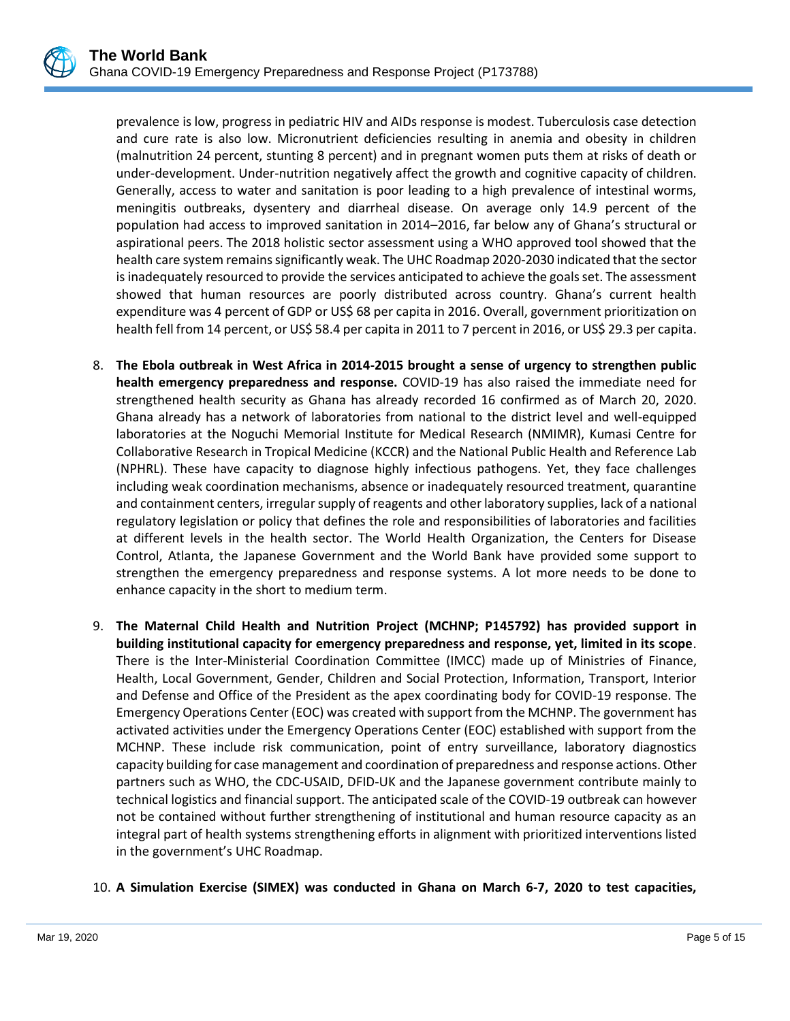prevalence is low, progress in pediatric HIV and AIDs response is modest. Tuberculosis case detection and cure rate is also low. Micronutrient deficiencies resulting in anemia and obesity in children (malnutrition 24 percent, stunting 8 percent) and in pregnant women puts them at risks of death or under-development. Under-nutrition negatively affect the growth and cognitive capacity of children. Generally, access to water and sanitation is poor leading to a high prevalence of intestinal worms, meningitis outbreaks, dysentery and diarrheal disease. On average only 14.9 percent of the population had access to improved sanitation in 2014–2016, far below any of Ghana's structural or aspirational peers. The 2018 holistic sector assessment using a WHO approved tool showed that the health care system remains significantly weak. The UHC Roadmap 2020-2030 indicated that the sector is inadequately resourced to provide the services anticipated to achieve the goals set. The assessment showed that human resources are poorly distributed across country. Ghana's current health expenditure was 4 percent of GDP or US\$ 68 per capita in 2016. Overall, government prioritization on health fell from 14 percent, or US\$ 58.4 per capita in 2011 to 7 percent in 2016, or US\$ 29.3 per capita.

- 8. **The Ebola outbreak in West Africa in 2014-2015 brought a sense of urgency to strengthen public health emergency preparedness and response.** COVID-19 has also raised the immediate need for strengthened health security as Ghana has already recorded 16 confirmed as of March 20, 2020. Ghana already has a network of laboratories from national to the district level and well-equipped laboratories at the Noguchi Memorial Institute for Medical Research (NMIMR), Kumasi Centre for Collaborative Research in Tropical Medicine (KCCR) and the National Public Health and Reference Lab (NPHRL). These have capacity to diagnose highly infectious pathogens. Yet, they face challenges including weak coordination mechanisms, absence or inadequately resourced treatment, quarantine and containment centers, irregular supply of reagents and other laboratory supplies, lack of a national regulatory legislation or policy that defines the role and responsibilities of laboratories and facilities at different levels in the health sector. The World Health Organization, the Centers for Disease Control, Atlanta, the Japanese Government and the World Bank have provided some support to strengthen the emergency preparedness and response systems. A lot more needs to be done to enhance capacity in the short to medium term.
- 9. **The Maternal Child Health and Nutrition Project (MCHNP; P145792) has provided support in building institutional capacity for emergency preparedness and response, yet, limited in its scope**. There is the Inter-Ministerial Coordination Committee (IMCC) made up of Ministries of Finance, Health, Local Government, Gender, Children and Social Protection, Information, Transport, Interior and Defense and Office of the President as the apex coordinating body for COVID-19 response. The Emergency Operations Center (EOC) was created with support from the MCHNP. The government has activated activities under the Emergency Operations Center (EOC) established with support from the MCHNP. These include risk communication, point of entry surveillance, laboratory diagnostics capacity building for case management and coordination of preparedness and response actions. Other partners such as WHO, the CDC-USAID, DFID-UK and the Japanese government contribute mainly to technical logistics and financial support. The anticipated scale of the COVID-19 outbreak can however not be contained without further strengthening of institutional and human resource capacity as an integral part of health systems strengthening efforts in alignment with prioritized interventions listed in the government's UHC Roadmap.

### 10. **A Simulation Exercise (SIMEX) was conducted in Ghana on March 6-7, 2020 to test capacities,**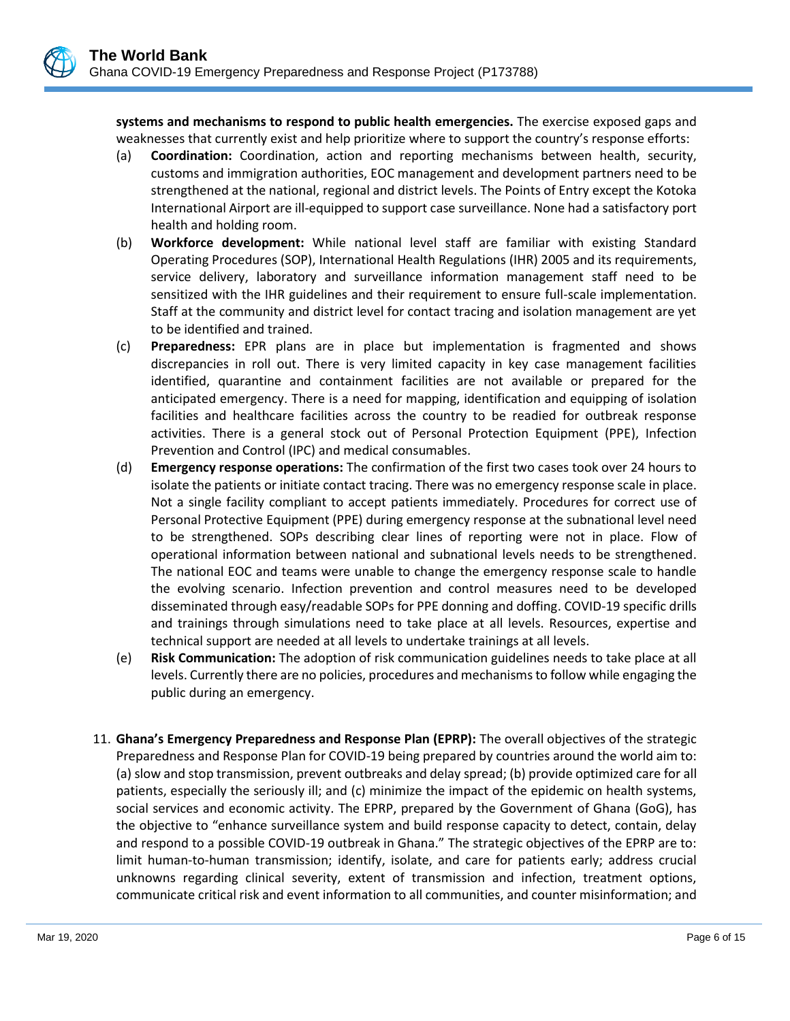

**systems and mechanisms to respond to public health emergencies.** The exercise exposed gaps and weaknesses that currently exist and help prioritize where to support the country's response efforts:

- (a) **Coordination:** Coordination, action and reporting mechanisms between health, security, customs and immigration authorities, EOC management and development partners need to be strengthened at the national, regional and district levels. The Points of Entry except the Kotoka International Airport are ill-equipped to support case surveillance. None had a satisfactory port health and holding room.
- (b) **Workforce development:** While national level staff are familiar with existing Standard Operating Procedures (SOP), International Health Regulations (IHR) 2005 and its requirements, service delivery, laboratory and surveillance information management staff need to be sensitized with the IHR guidelines and their requirement to ensure full-scale implementation. Staff at the community and district level for contact tracing and isolation management are yet to be identified and trained.
- (c) **Preparedness:** EPR plans are in place but implementation is fragmented and shows discrepancies in roll out. There is very limited capacity in key case management facilities identified, quarantine and containment facilities are not available or prepared for the anticipated emergency. There is a need for mapping, identification and equipping of isolation facilities and healthcare facilities across the country to be readied for outbreak response activities. There is a general stock out of Personal Protection Equipment (PPE), Infection Prevention and Control (IPC) and medical consumables.
- (d) **Emergency response operations:** The confirmation of the first two cases took over 24 hours to isolate the patients or initiate contact tracing. There was no emergency response scale in place. Not a single facility compliant to accept patients immediately. Procedures for correct use of Personal Protective Equipment (PPE) during emergency response at the subnational level need to be strengthened. SOPs describing clear lines of reporting were not in place. Flow of operational information between national and subnational levels needs to be strengthened. The national EOC and teams were unable to change the emergency response scale to handle the evolving scenario. Infection prevention and control measures need to be developed disseminated through easy/readable SOPs for PPE donning and doffing. COVID-19 specific drills and trainings through simulations need to take place at all levels. Resources, expertise and technical support are needed at all levels to undertake trainings at all levels.
- (e) **Risk Communication:** The adoption of risk communication guidelines needs to take place at all levels. Currently there are no policies, procedures and mechanisms to follow while engaging the public during an emergency.
- 11. **Ghana's Emergency Preparedness and Response Plan (EPRP):** The overall objectives of the strategic Preparedness and Response Plan for COVID-19 being prepared by countries around the world aim to: (a) slow and stop transmission, prevent outbreaks and delay spread; (b) provide optimized care for all patients, especially the seriously ill; and (c) minimize the impact of the epidemic on health systems, social services and economic activity. The EPRP, prepared by the Government of Ghana (GoG), has the objective to "enhance surveillance system and build response capacity to detect, contain, delay and respond to a possible COVID-19 outbreak in Ghana." The strategic objectives of the EPRP are to: limit human-to-human transmission; identify, isolate, and care for patients early; address crucial unknowns regarding clinical severity, extent of transmission and infection, treatment options, communicate critical risk and event information to all communities, and counter misinformation; and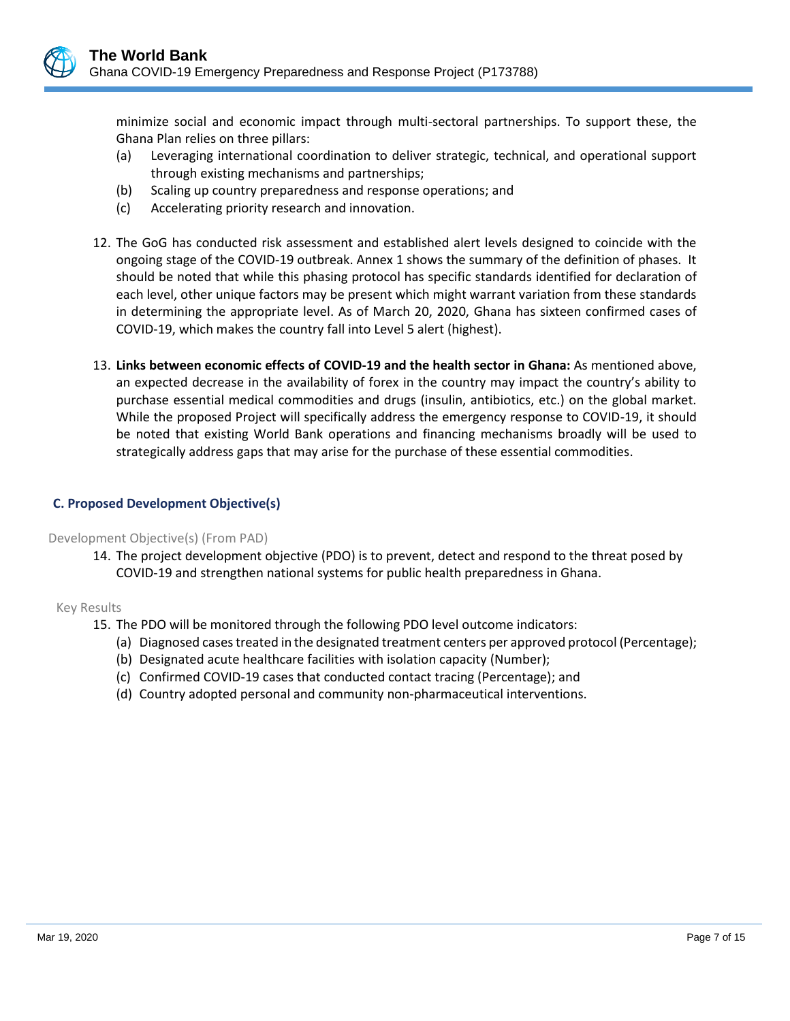

minimize social and economic impact through multi-sectoral partnerships. To support these, the Ghana Plan relies on three pillars:

- (a) Leveraging international coordination to deliver strategic, technical, and operational support through existing mechanisms and partnerships;
- (b) Scaling up country preparedness and response operations; and
- (c) Accelerating priority research and innovation.
- 12. The GoG has conducted risk assessment and established alert levels designed to coincide with the ongoing stage of the COVID-19 outbreak. Annex 1 shows the summary of the definition of phases. It should be noted that while this phasing protocol has specific standards identified for declaration of each level, other unique factors may be present which might warrant variation from these standards in determining the appropriate level. As of March 20, 2020, Ghana has sixteen confirmed cases of COVID-19, which makes the country fall into Level 5 alert (highest).
- 13. **Links between economic effects of COVID-19 and the health sector in Ghana:** As mentioned above, an expected decrease in the availability of forex in the country may impact the country's ability to purchase essential medical commodities and drugs (insulin, antibiotics, etc.) on the global market. While the proposed Project will specifically address the emergency response to COVID-19, it should be noted that existing World Bank operations and financing mechanisms broadly will be used to strategically address gaps that may arise for the purchase of these essential commodities.

## **C. Proposed Development Objective(s)**

#### Development Objective(s) (From PAD)

14. The project development objective (PDO) is to prevent, detect and respond to the threat posed by COVID-19 and strengthen national systems for public health preparedness in Ghana.

### Key Results

- 15. The PDO will be monitored through the following PDO level outcome indicators:
	- (a) Diagnosed cases treated in the designated treatment centers per approved protocol (Percentage);
	- (b) Designated acute healthcare facilities with isolation capacity (Number);
	- (c) Confirmed COVID-19 cases that conducted contact tracing (Percentage); and
	- (d) Country adopted personal and community non-pharmaceutical interventions.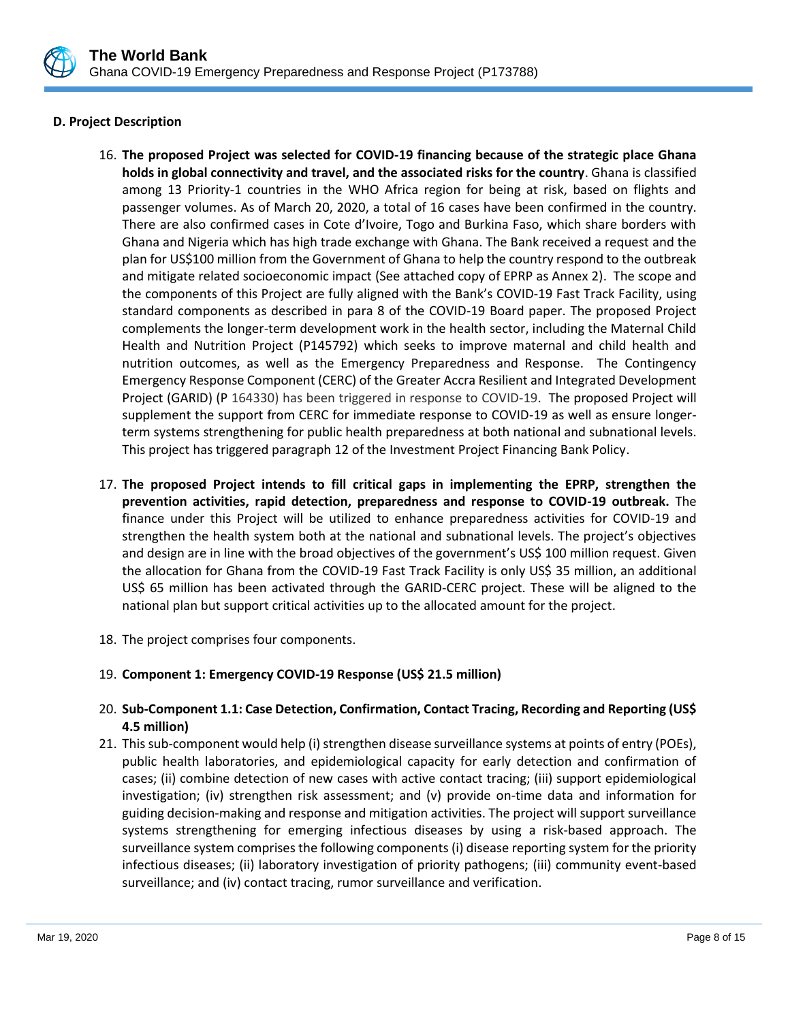

## **D. Project Description**

- 16. **The proposed Project was selected for COVID-19 financing because of the strategic place Ghana holds in global connectivity and travel, and the associated risks for the country**. Ghana is classified among 13 Priority-1 countries in the WHO Africa region for being at risk, based on flights and passenger volumes. As of March 20, 2020, a total of 16 cases have been confirmed in the country. There are also confirmed cases in Cote d'Ivoire, Togo and Burkina Faso, which share borders with Ghana and Nigeria which has high trade exchange with Ghana. The Bank received a request and the plan for US\$100 million from the Government of Ghana to help the country respond to the outbreak and mitigate related socioeconomic impact (See attached copy of EPRP as Annex 2). The scope and the components of this Project are fully aligned with the Bank's COVID-19 Fast Track Facility, using standard components as described in para 8 of the COVID-19 Board paper. The proposed Project complements the longer-term development work in the health sector, including the Maternal Child Health and Nutrition Project (P145792) which seeks to improve maternal and child health and nutrition outcomes, as well as the Emergency Preparedness and Response. The Contingency Emergency Response Component (CERC) of the Greater Accra Resilient and Integrated Development Project (GARID) (P 164330) has been triggered in response to COVID-19. The proposed Project will supplement the support from CERC for immediate response to COVID-19 as well as ensure longerterm systems strengthening for public health preparedness at both national and subnational levels. This project has triggered paragraph 12 of the Investment Project Financing Bank Policy.
- 17. **The proposed Project intends to fill critical gaps in implementing the EPRP, strengthen the prevention activities, rapid detection, preparedness and response to COVID-19 outbreak.** The finance under this Project will be utilized to enhance preparedness activities for COVID-19 and strengthen the health system both at the national and subnational levels. The project's objectives and design are in line with the broad objectives of the government's US\$ 100 million request. Given the allocation for Ghana from the COVID-19 Fast Track Facility is only US\$ 35 million, an additional US\$ 65 million has been activated through the GARID-CERC project. These will be aligned to the national plan but support critical activities up to the allocated amount for the project.
- 18. The project comprises four components.

## 19. **Component 1: Emergency COVID-19 Response (US\$ 21.5 million)**

## 20. **Sub-Component 1.1: Case Detection, Confirmation, Contact Tracing, Recording and Reporting (US\$ 4.5 million)**

21. This sub-component would help (i) strengthen disease surveillance systems at points of entry (POEs), public health laboratories, and epidemiological capacity for early detection and confirmation of cases; (ii) combine detection of new cases with active contact tracing; (iii) support epidemiological investigation; (iv) strengthen risk assessment; and (v) provide on-time data and information for guiding decision-making and response and mitigation activities. The project will support surveillance systems strengthening for emerging infectious diseases by using a risk-based approach. The surveillance system comprises the following components (i) disease reporting system for the priority infectious diseases; (ii) laboratory investigation of priority pathogens; (iii) community event-based surveillance; and (iv) contact tracing, rumor surveillance and verification.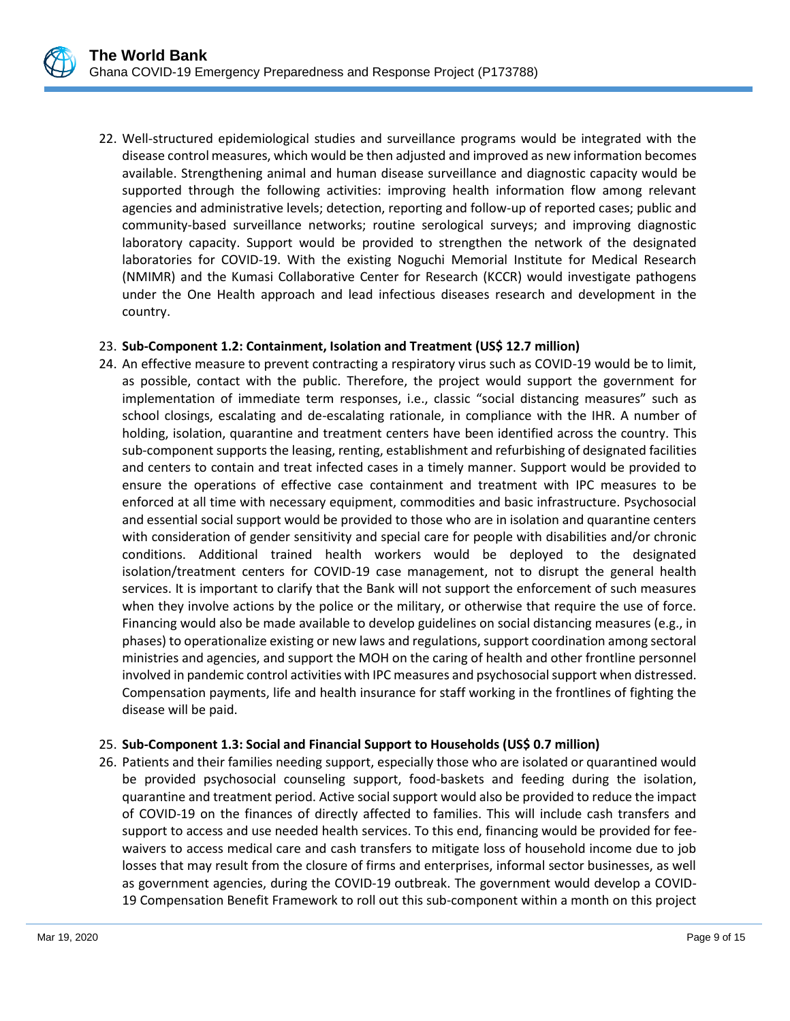22. Well-structured epidemiological studies and surveillance programs would be integrated with the disease control measures, which would be then adjusted and improved as new information becomes available. Strengthening animal and human disease surveillance and diagnostic capacity would be supported through the following activities: improving health information flow among relevant agencies and administrative levels; detection, reporting and follow-up of reported cases; public and community-based surveillance networks; routine serological surveys; and improving diagnostic laboratory capacity. Support would be provided to strengthen the network of the designated laboratories for COVID-19. With the existing Noguchi Memorial Institute for Medical Research (NMIMR) and the Kumasi Collaborative Center for Research (KCCR) would investigate pathogens under the One Health approach and lead infectious diseases research and development in the country.

#### 23. **Sub-Component 1.2: Containment, Isolation and Treatment (US\$ 12.7 million)**

24. An effective measure to prevent contracting a respiratory virus such as COVID-19 would be to limit, as possible, contact with the public. Therefore, the project would support the government for implementation of immediate term responses, i.e., classic "social distancing measures" such as school closings, escalating and de-escalating rationale, in compliance with the IHR. A number of holding, isolation, quarantine and treatment centers have been identified across the country. This sub-component supports the leasing, renting, establishment and refurbishing of designated facilities and centers to contain and treat infected cases in a timely manner. Support would be provided to ensure the operations of effective case containment and treatment with IPC measures to be enforced at all time with necessary equipment, commodities and basic infrastructure. Psychosocial and essential social support would be provided to those who are in isolation and quarantine centers with consideration of gender sensitivity and special care for people with disabilities and/or chronic conditions. Additional trained health workers would be deployed to the designated isolation/treatment centers for COVID-19 case management, not to disrupt the general health services. It is important to clarify that the Bank will not support the enforcement of such measures when they involve actions by the police or the military, or otherwise that require the use of force. Financing would also be made available to develop guidelines on social distancing measures (e.g., in phases) to operationalize existing or new laws and regulations, support coordination among sectoral ministries and agencies, and support the MOH on the caring of health and other frontline personnel involved in pandemic control activities with IPC measures and psychosocial support when distressed. Compensation payments, life and health insurance for staff working in the frontlines of fighting the disease will be paid.

### 25. **Sub-Component 1.3: Social and Financial Support to Households (US\$ 0.7 million)**

26. Patients and their families needing support, especially those who are isolated or quarantined would be provided psychosocial counseling support, food-baskets and feeding during the isolation, quarantine and treatment period. Active social support would also be provided to reduce the impact of COVID-19 on the finances of directly affected to families. This will include cash transfers and support to access and use needed health services. To this end, financing would be provided for feewaivers to access medical care and cash transfers to mitigate loss of household income due to job losses that may result from the closure of firms and enterprises, informal sector businesses, as well as government agencies, during the COVID-19 outbreak. The government would develop a COVID-19 Compensation Benefit Framework to roll out this sub-component within a month on this project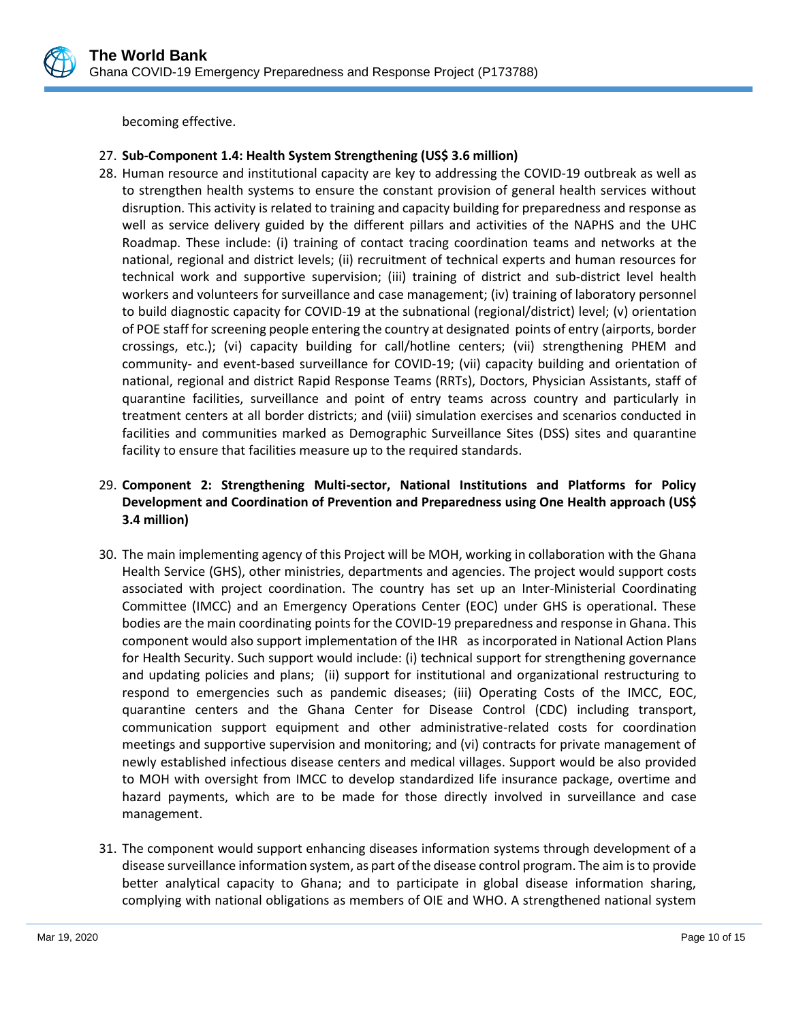

becoming effective.

## 27. **Sub-Component 1.4: Health System Strengthening (US\$ 3.6 million)**

28. Human resource and institutional capacity are key to addressing the COVID-19 outbreak as well as to strengthen health systems to ensure the constant provision of general health services without disruption. This activity is related to training and capacity building for preparedness and response as well as service delivery guided by the different pillars and activities of the NAPHS and the UHC Roadmap. These include: (i) training of contact tracing coordination teams and networks at the national, regional and district levels; (ii) recruitment of technical experts and human resources for technical work and supportive supervision; (iii) training of district and sub-district level health workers and volunteers for surveillance and case management; (iv) training of laboratory personnel to build diagnostic capacity for COVID-19 at the subnational (regional/district) level; (v) orientation of POE staff for screening people entering the country at designated points of entry (airports, border crossings, etc.); (vi) capacity building for call/hotline centers; (vii) strengthening PHEM and community- and event-based surveillance for COVID-19; (vii) capacity building and orientation of national, regional and district Rapid Response Teams (RRTs), Doctors, Physician Assistants, staff of quarantine facilities, surveillance and point of entry teams across country and particularly in treatment centers at all border districts; and (viii) simulation exercises and scenarios conducted in facilities and communities marked as Demographic Surveillance Sites (DSS) sites and quarantine facility to ensure that facilities measure up to the required standards.

## 29. **Component 2: Strengthening Multi-sector, National Institutions and Platforms for Policy Development and Coordination of Prevention and Preparedness using One Health approach (US\$ 3.4 million)**

- 30. The main implementing agency of this Project will be MOH, working in collaboration with the Ghana Health Service (GHS), other ministries, departments and agencies. The project would support costs associated with project coordination. The country has set up an Inter-Ministerial Coordinating Committee (IMCC) and an Emergency Operations Center (EOC) under GHS is operational. These bodies are the main coordinating points for the COVID-19 preparedness and response in Ghana. This component would also support implementation of the IHR as incorporated in National Action Plans for Health Security. Such support would include: (i) technical support for strengthening governance and updating policies and plans; (ii) support for institutional and organizational restructuring to respond to emergencies such as pandemic diseases; (iii) Operating Costs of the IMCC, EOC, quarantine centers and the Ghana Center for Disease Control (CDC) including transport, communication support equipment and other administrative-related costs for coordination meetings and supportive supervision and monitoring; and (vi) contracts for private management of newly established infectious disease centers and medical villages. Support would be also provided to MOH with oversight from IMCC to develop standardized life insurance package, overtime and hazard payments, which are to be made for those directly involved in surveillance and case management.
- 31. The component would support enhancing diseases information systems through development of a disease surveillance information system, as part of the disease control program. The aim is to provide better analytical capacity to Ghana; and to participate in global disease information sharing, complying with national obligations as members of OIE and WHO. A strengthened national system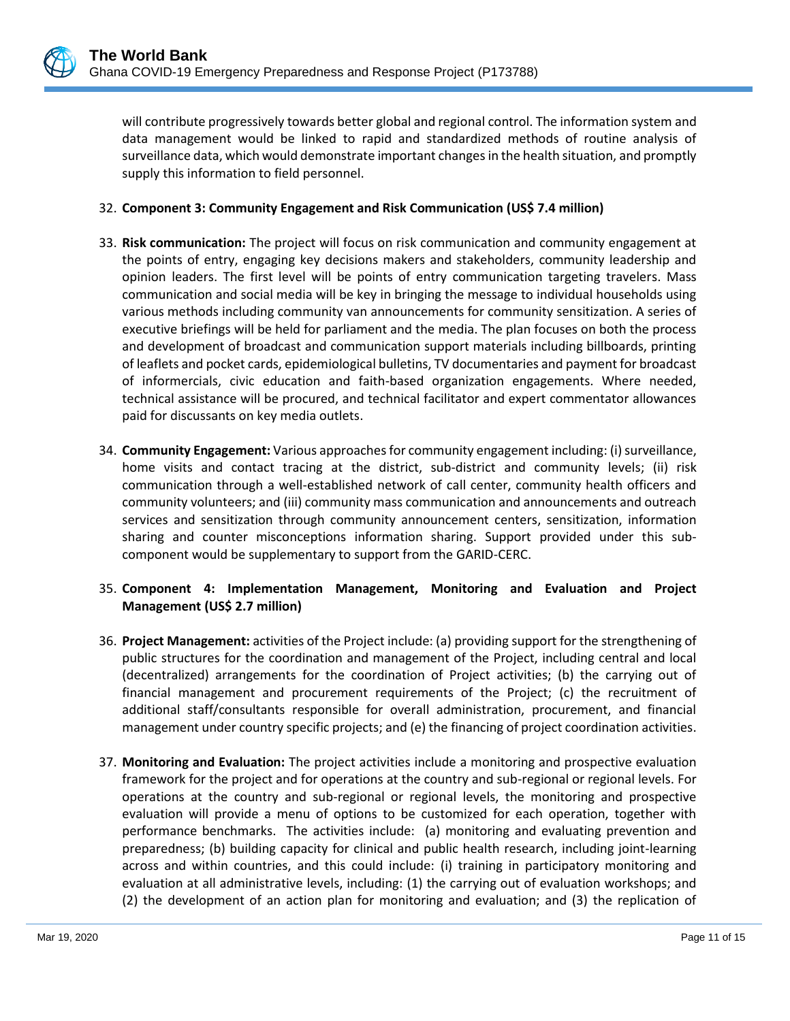will contribute progressively towards better global and regional control. The information system and data management would be linked to rapid and standardized methods of routine analysis of surveillance data, which would demonstrate important changes in the health situation, and promptly supply this information to field personnel.

#### 32. **Component 3: Community Engagement and Risk Communication (US\$ 7.4 million)**

- 33. **Risk communication:** The project will focus on risk communication and community engagement at the points of entry, engaging key decisions makers and stakeholders, community leadership and opinion leaders. The first level will be points of entry communication targeting travelers. Mass communication and social media will be key in bringing the message to individual households using various methods including community van announcements for community sensitization. A series of executive briefings will be held for parliament and the media. The plan focuses on both the process and development of broadcast and communication support materials including billboards, printing of leaflets and pocket cards, epidemiological bulletins, TV documentaries and payment for broadcast of informercials, civic education and faith-based organization engagements. Where needed, technical assistance will be procured, and technical facilitator and expert commentator allowances paid for discussants on key media outlets.
- 34. **Community Engagement:** Various approaches for community engagement including: (i) surveillance, home visits and contact tracing at the district, sub-district and community levels; (ii) risk communication through a well-established network of call center, community health officers and community volunteers; and (iii) community mass communication and announcements and outreach services and sensitization through community announcement centers, sensitization, information sharing and counter misconceptions information sharing. Support provided under this subcomponent would be supplementary to support from the GARID-CERC.

### 35. **Component 4: Implementation Management, Monitoring and Evaluation and Project Management (US\$ 2.7 million)**

- 36. **Project Management:** activities of the Project include: (a) providing support for the strengthening of public structures for the coordination and management of the Project, including central and local (decentralized) arrangements for the coordination of Project activities; (b) the carrying out of financial management and procurement requirements of the Project; (c) the recruitment of additional staff/consultants responsible for overall administration, procurement, and financial management under country specific projects; and (e) the financing of project coordination activities.
- 37. **Monitoring and Evaluation:** The project activities include a monitoring and prospective evaluation framework for the project and for operations at the country and sub-regional or regional levels. For operations at the country and sub-regional or regional levels, the monitoring and prospective evaluation will provide a menu of options to be customized for each operation, together with performance benchmarks. The activities include: (a) monitoring and evaluating prevention and preparedness; (b) building capacity for clinical and public health research, including joint-learning across and within countries, and this could include: (i) training in participatory monitoring and evaluation at all administrative levels, including: (1) the carrying out of evaluation workshops; and (2) the development of an action plan for monitoring and evaluation; and (3) the replication of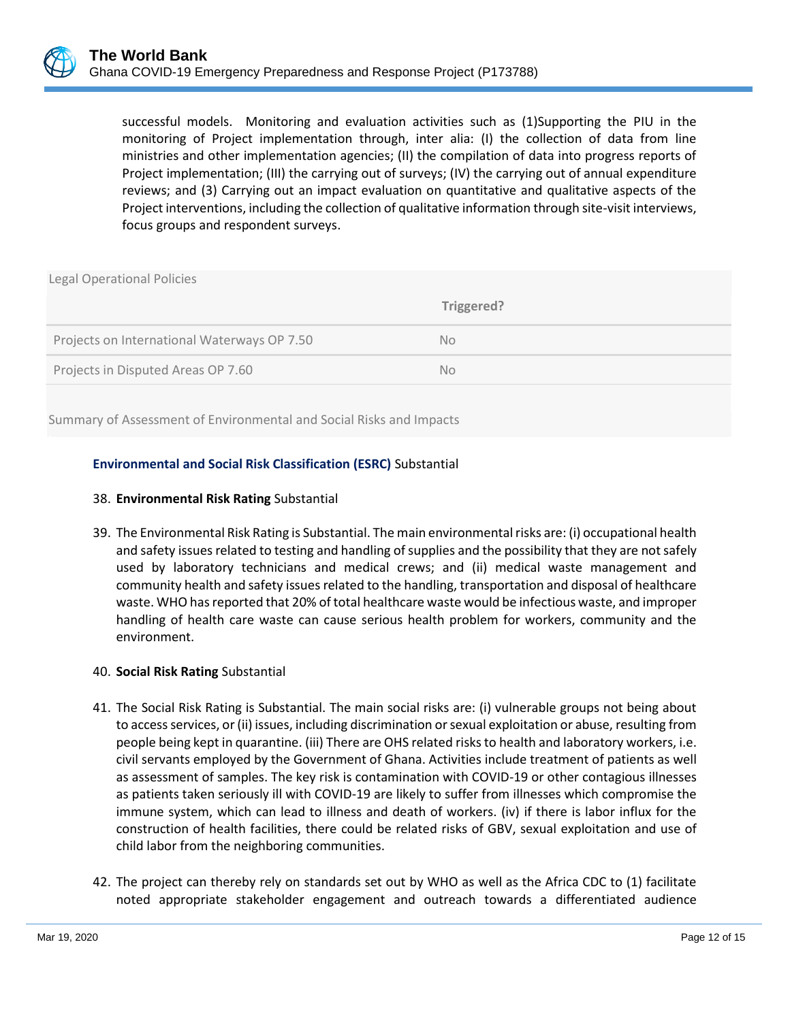successful models. Monitoring and evaluation activities such as (1)Supporting the PIU in the monitoring of Project implementation through, inter alia: (I) the collection of data from line ministries and other implementation agencies; (II) the compilation of data into progress reports of Project implementation; (III) the carrying out of surveys; (IV) the carrying out of annual expenditure reviews; and (3) Carrying out an impact evaluation on quantitative and qualitative aspects of the Project interventions, including the collection of qualitative information through site-visit interviews, focus groups and respondent surveys.

| <b>Legal Operational Policies</b>           |            |  |  |  |
|---------------------------------------------|------------|--|--|--|
|                                             | Triggered? |  |  |  |
| Projects on International Waterways OP 7.50 | No.        |  |  |  |
| Projects in Disputed Areas OP 7.60          | No.        |  |  |  |
|                                             |            |  |  |  |

Summary of Assessment of Environmental and Social Risks and Impacts

### **Environmental and Social Risk Classification (ESRC)** Substantial

#### 38. **Environmental Risk Rating** Substantial

39. The Environmental Risk Rating is Substantial. The main environmental risks are: (i) occupational health and safety issues related to testing and handling of supplies and the possibility that they are not safely used by laboratory technicians and medical crews; and (ii) medical waste management and community health and safety issues related to the handling, transportation and disposal of healthcare waste. WHO has reported that 20% of total healthcare waste would be infectious waste, and improper handling of health care waste can cause serious health problem for workers, community and the environment.

### 40. **Social Risk Rating** Substantial

- 41. The Social Risk Rating is Substantial. The main social risks are: (i) vulnerable groups not being about to access services, or (ii) issues, including discrimination or sexual exploitation or abuse, resulting from people being kept in quarantine. (iii) There are OHS related risks to health and laboratory workers, i.e. civil servants employed by the Government of Ghana. Activities include treatment of patients as well as assessment of samples. The key risk is contamination with COVID-19 or other contagious illnesses as patients taken seriously ill with COVID-19 are likely to suffer from illnesses which compromise the immune system, which can lead to illness and death of workers. (iv) if there is labor influx for the construction of health facilities, there could be related risks of GBV, sexual exploitation and use of child labor from the neighboring communities.
- 42. The project can thereby rely on standards set out by WHO as well as the Africa CDC to (1) facilitate noted appropriate stakeholder engagement and outreach towards a differentiated audience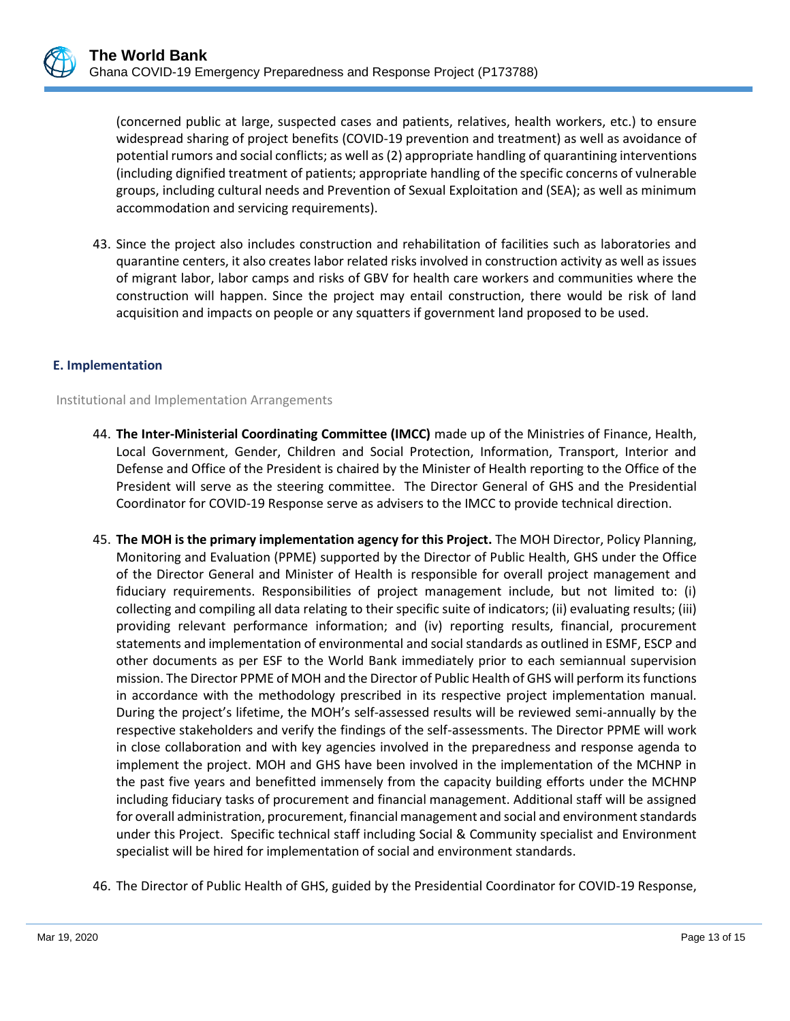(concerned public at large, suspected cases and patients, relatives, health workers, etc.) to ensure widespread sharing of project benefits (COVID-19 prevention and treatment) as well as avoidance of potential rumors and social conflicts; as well as (2) appropriate handling of quarantining interventions (including dignified treatment of patients; appropriate handling of the specific concerns of vulnerable groups, including cultural needs and Prevention of Sexual Exploitation and (SEA); as well as minimum accommodation and servicing requirements).

43. Since the project also includes construction and rehabilitation of facilities such as laboratories and quarantine centers, it also creates labor related risks involved in construction activity as well as issues of migrant labor, labor camps and risks of GBV for health care workers and communities where the construction will happen. Since the project may entail construction, there would be risk of land acquisition and impacts on people or any squatters if government land proposed to be used.

#### **E. Implementation**

Institutional and Implementation Arrangements

- 44. **The Inter-Ministerial Coordinating Committee (IMCC)** made up of the Ministries of Finance, Health, Local Government, Gender, Children and Social Protection, Information, Transport, Interior and Defense and Office of the President is chaired by the Minister of Health reporting to the Office of the President will serve as the steering committee. The Director General of GHS and the Presidential Coordinator for COVID-19 Response serve as advisers to the IMCC to provide technical direction.
- 45. **The MOH is the primary implementation agency for this Project.** The MOH Director, Policy Planning, Monitoring and Evaluation (PPME) supported by the Director of Public Health, GHS under the Office of the Director General and Minister of Health is responsible for overall project management and fiduciary requirements. Responsibilities of project management include, but not limited to: (i) collecting and compiling all data relating to their specific suite of indicators; (ii) evaluating results; (iii) providing relevant performance information; and (iv) reporting results, financial, procurement statements and implementation of environmental and social standards as outlined in ESMF, ESCP and other documents as per ESF to the World Bank immediately prior to each semiannual supervision mission. The Director PPME of MOH and the Director of Public Health of GHS will perform its functions in accordance with the methodology prescribed in its respective project implementation manual. During the project's lifetime, the MOH's self-assessed results will be reviewed semi-annually by the respective stakeholders and verify the findings of the self-assessments. The Director PPME will work in close collaboration and with key agencies involved in the preparedness and response agenda to implement the project. MOH and GHS have been involved in the implementation of the MCHNP in the past five years and benefitted immensely from the capacity building efforts under the MCHNP including fiduciary tasks of procurement and financial management. Additional staff will be assigned for overall administration, procurement, financial management and social and environment standards under this Project. Specific technical staff including Social & Community specialist and Environment specialist will be hired for implementation of social and environment standards.
- 46. The Director of Public Health of GHS, guided by the Presidential Coordinator for COVID-19 Response,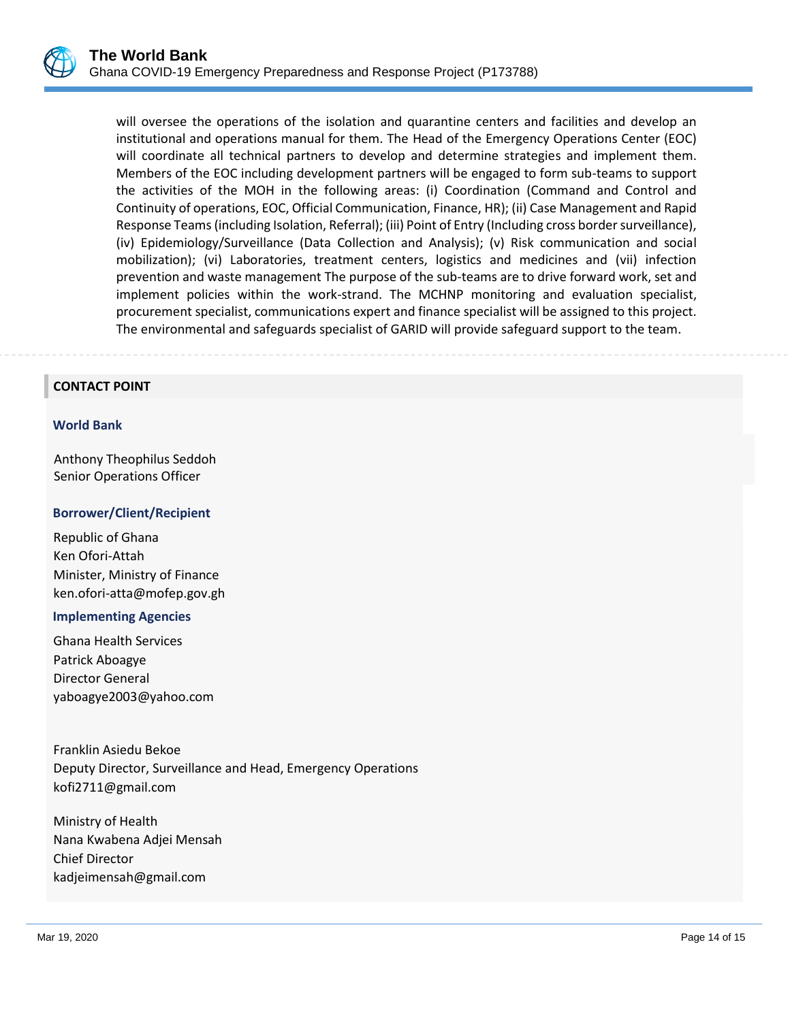

will oversee the operations of the isolation and quarantine centers and facilities and develop an institutional and operations manual for them. The Head of the Emergency Operations Center (EOC) will coordinate all technical partners to develop and determine strategies and implement them. Members of the EOC including development partners will be engaged to form sub-teams to support the activities of the MOH in the following areas: (i) Coordination (Command and Control and Continuity of operations, EOC, Official Communication, Finance, HR); (ii) Case Management and Rapid Response Teams (including Isolation, Referral); (iii) Point of Entry (Including cross border surveillance), (iv) Epidemiology/Surveillance (Data Collection and Analysis); (v) Risk communication and social mobilization); (vi) Laboratories, treatment centers, logistics and medicines and (vii) infection prevention and waste management The purpose of the sub-teams are to drive forward work, set and implement policies within the work-strand. The MCHNP monitoring and evaluation specialist, procurement specialist, communications expert and finance specialist will be assigned to this project. The environmental and safeguards specialist of GARID will provide safeguard support to the team.

## **CONTACT POINT**

#### **World Bank**

Anthony Theophilus Seddoh Senior Operations Officer

#### **Borrower/Client/Recipient**

Republic of Ghana Ken Ofori-Attah Minister, Ministry of Finance ken.ofori-atta@mofep.gov.gh

#### **Implementing Agencies**

Ghana Health Services Patrick Aboagye Director General yaboagye2003@yahoo.com

Franklin Asiedu Bekoe Deputy Director, Surveillance and Head, Emergency Operations kofi2711@gmail.com

Ministry of Health Nana Kwabena Adjei Mensah Chief Director kadjeimensah@gmail.com